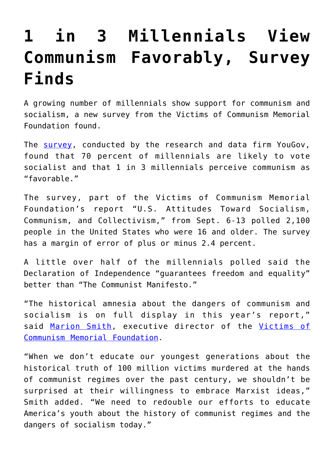## **[1 in 3 Millennials View](https://intellectualtakeout.org/2019/10/1-in-3-millennials-view-communism-favorably-survey-finds/) [Communism Favorably, Survey](https://intellectualtakeout.org/2019/10/1-in-3-millennials-view-communism-favorably-survey-finds/) [Finds](https://intellectualtakeout.org/2019/10/1-in-3-millennials-view-communism-favorably-survey-finds/)**

A growing number of millennials show support for communism and socialism, a new survey from the Victims of Communism Memorial Foundation found.

The [survey,](https://www.victimsofcommunism.org/2019-annual-poll) conducted by the research and data firm YouGov, found that 70 percent of millennials are likely to vote socialist and that 1 in 3 millennials perceive communism as "favorable."

The survey, part of the Victims of Communism Memorial Foundation's report "U.S. Attitudes Toward Socialism, Communism, and Collectivism," from Sept. 6-13 polled 2,100 people in the United States who were 16 and older. The survey has a margin of error of plus or minus 2.4 percent.

A little over half of the millennials polled said the Declaration of Independence "guarantees freedom and equality" better than "The Communist Manifesto."

"The historical amnesia about the dangers of communism and socialism is on full display in this year's report," said [Marion Smith](http://icm-tracking.meltwater.com/link.php?DynEngagement=true&H=3ZUQjNycMu7D%2Fe%2Bm%2FOmi3Qi1eTNrfRb0HcFplK3KYerw%2B6SfjwwI9rttdZHSrH7AtPmehx40jP0tvFloDnqw6Avh5lltkc60GLvOcKz3n9QoYNDF4Lsfyf7g%2FkCmE0F9&G=0&R=https%3A%2F%2Fwww.victimsofcommunism.org%2Fleadership&I=20191024123839.000007e98ad6%40mail6-53-ussnn1&X=MHwxMDQ2NzU4OjVkYjE5YjRiMTYwYzMwZGIxNGRhNDE0MDsxfDEwNDY3NTk6dHJ1ZTs%3D&S=c2sJ5iRTdcm0fzs-Jk9S7LhelG4zid-vGH7skuzMFFQ), executive director of the [Victims of](http://icm-tracking.meltwater.com/link.php?DynEngagement=true&H=3ZUQjNycMu7D%2Fe%2Bm%2FOmi3Qi1eTNrfRb0HcFplK3KYerw%2B6SfjwwI9rttdZHSrH7AtPmehx40jP0tvFloDnqw6Avh5lltkc60GLvOcKz3n9QoYNDF4Lsfyf7g%2FkCmE0F9&G=0&R=https%3A%2F%2Fwww.victimsofcommunism.org%2F&I=20191024123839.000007e98ad6%40mail6-53-ussnn1&X=MHwxMDQ2NzU4OjVkYjE5YjRiMTYwYzMwZGIxNGRhNDE0MDsxfDEwNDY3NTk6dHJ1ZTs%3D&S=xonHM24U4kdUQUhaZcyMnk8-QbSrHRlOtAZyMoLepQE) [Communism Memorial Foundation](http://icm-tracking.meltwater.com/link.php?DynEngagement=true&H=3ZUQjNycMu7D%2Fe%2Bm%2FOmi3Qi1eTNrfRb0HcFplK3KYerw%2B6SfjwwI9rttdZHSrH7AtPmehx40jP0tvFloDnqw6Avh5lltkc60GLvOcKz3n9QoYNDF4Lsfyf7g%2FkCmE0F9&G=0&R=https%3A%2F%2Fwww.victimsofcommunism.org%2F&I=20191024123839.000007e98ad6%40mail6-53-ussnn1&X=MHwxMDQ2NzU4OjVkYjE5YjRiMTYwYzMwZGIxNGRhNDE0MDsxfDEwNDY3NTk6dHJ1ZTs%3D&S=xonHM24U4kdUQUhaZcyMnk8-QbSrHRlOtAZyMoLepQE).

"When we don't educate our youngest generations about the historical truth of 100 million victims murdered at the hands of communist regimes over the past century, we shouldn't be surprised at their willingness to embrace Marxist ideas," Smith added. "We need to redouble our efforts to educate America's youth about the history of communist regimes and the dangers of socialism today."